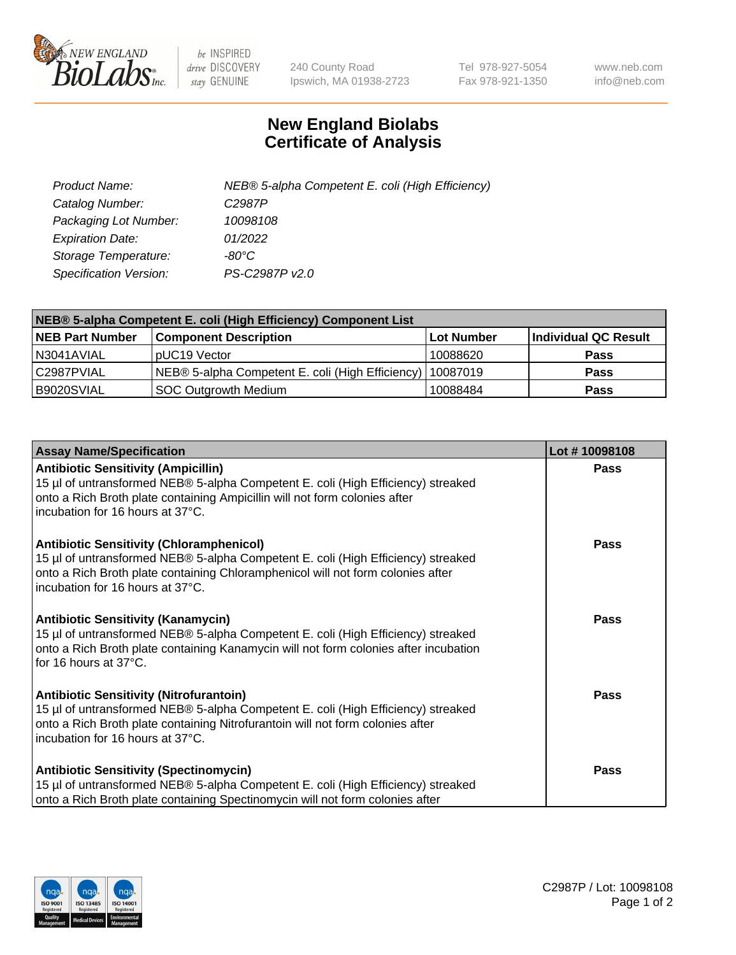

 $be$  INSPIRED drive DISCOVERY stay GENUINE

240 County Road Ipswich, MA 01938-2723 Tel 978-927-5054 Fax 978-921-1350 www.neb.com info@neb.com

## **New England Biolabs Certificate of Analysis**

| Product Name:                 | NEB® 5-alpha Competent E. coli (High Efficiency) |
|-------------------------------|--------------------------------------------------|
| Catalog Number:               | C <sub>2987</sub> P                              |
| Packaging Lot Number:         | 10098108                                         |
| <b>Expiration Date:</b>       | 01/2022                                          |
| Storage Temperature:          | -80°C                                            |
| <b>Specification Version:</b> | PS-C2987P v2.0                                   |

| NEB® 5-alpha Competent E. coli (High Efficiency) Component List |                                                             |            |                      |  |
|-----------------------------------------------------------------|-------------------------------------------------------------|------------|----------------------|--|
| <b>NEB Part Number</b>                                          | <b>Component Description</b>                                | Lot Number | Individual QC Result |  |
| N3041AVIAL                                                      | pUC19 Vector                                                | 10088620   | <b>Pass</b>          |  |
| C2987PVIAL                                                      | NEB® 5-alpha Competent E. coli (High Efficiency)   10087019 |            | <b>Pass</b>          |  |
| B9020SVIAL                                                      | <b>SOC Outgrowth Medium</b>                                 | 10088484   | <b>Pass</b>          |  |

| <b>Assay Name/Specification</b>                                                                                                                                                                                                                              | Lot #10098108 |
|--------------------------------------------------------------------------------------------------------------------------------------------------------------------------------------------------------------------------------------------------------------|---------------|
| <b>Antibiotic Sensitivity (Ampicillin)</b><br>15 µl of untransformed NEB® 5-alpha Competent E. coli (High Efficiency) streaked<br>onto a Rich Broth plate containing Ampicillin will not form colonies after<br>incubation for 16 hours at 37°C.             | Pass          |
| <b>Antibiotic Sensitivity (Chloramphenicol)</b><br>15 µl of untransformed NEB® 5-alpha Competent E. coli (High Efficiency) streaked<br>onto a Rich Broth plate containing Chloramphenicol will not form colonies after<br>l incubation for 16 hours at 37°C. | Pass          |
| <b>Antibiotic Sensitivity (Kanamycin)</b><br>15 µl of untransformed NEB® 5-alpha Competent E. coli (High Efficiency) streaked<br>onto a Rich Broth plate containing Kanamycin will not form colonies after incubation<br>for 16 hours at 37°C.               | Pass          |
| <b>Antibiotic Sensitivity (Nitrofurantoin)</b><br>15 µl of untransformed NEB® 5-alpha Competent E. coli (High Efficiency) streaked<br>onto a Rich Broth plate containing Nitrofurantoin will not form colonies after<br>incubation for 16 hours at 37°C.     | <b>Pass</b>   |
| <b>Antibiotic Sensitivity (Spectinomycin)</b><br>15 µl of untransformed NEB® 5-alpha Competent E. coli (High Efficiency) streaked<br>onto a Rich Broth plate containing Spectinomycin will not form colonies after                                           | <b>Pass</b>   |